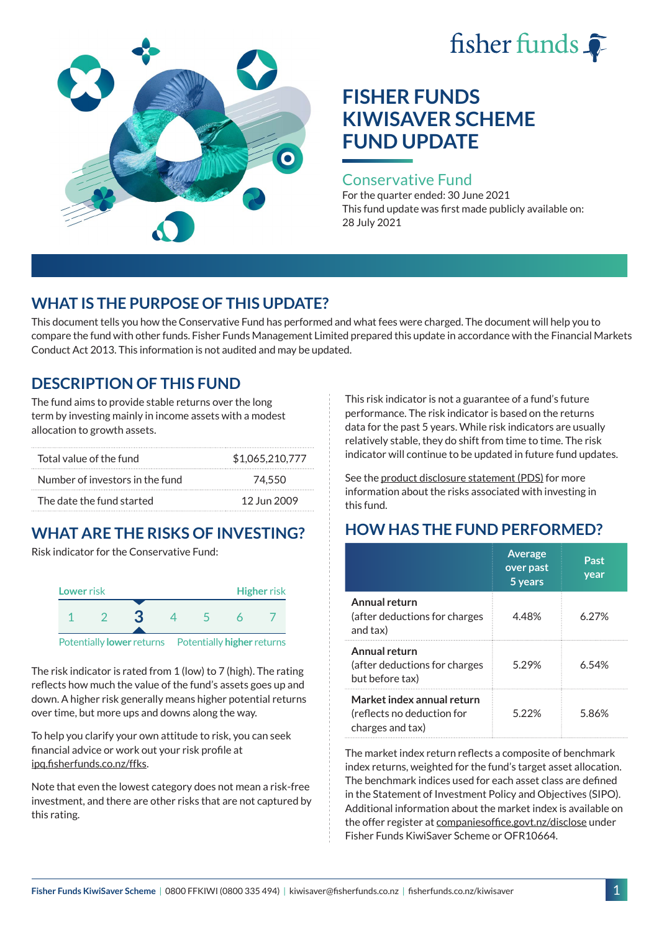



#### Conservative Fund

For the quarter ended: 30 June 2021 This fund update was first made publicly available on: 28 July 2021

### **WHAT IS THE PURPOSE OF THIS UPDATE?**

This document tells you how the Conservative Fund has performed and what fees were charged. The document will help you to compare the fund with other funds. Fisher Funds Management Limited prepared this update in accordance with the Financial Markets Conduct Act 2013. This information is not audited and may be updated.

# **DESCRIPTION OF THIS FUND**

The fund aims to provide stable returns over the long term by investing mainly in income assets with a modest allocation to growth assets.

| Total value of the fund         | \$1,065,210,777 |
|---------------------------------|-----------------|
| Number of investors in the fund | 74.550          |
| The date the fund started       | 12 Jun 2009     |

# **WHAT ARE THE RISKS OF INVESTING?**

Risk indicator for the Conservative Fund:



The risk indicator is rated from 1 (low) to 7 (high). The rating reflects how much the value of the fund's assets goes up and down. A higher risk generally means higher potential returns over time, but more ups and downs along the way.

To help you clarify your own attitude to risk, you can seek financial advice or work out your risk profile at [ipq.fisherfunds.co.nz/ffks](https://ipq.fisherfunds.co.nz/ffks).

Note that even the lowest category does not mean a risk-free investment, and there are other risks that are not captured by this rating.

This risk indicator is not a guarantee of a fund's future performance. The risk indicator is based on the returns data for the past 5 years. While risk indicators are usually relatively stable, they do shift from time to time. The risk indicator will continue to be updated in future fund updates.

See the [product disclosure statement \(PDS\)](https://fisherfunds.co.nz/assets/PDS/Fisher-Funds-KiwiSaver-Scheme-PDS.pdf) for more information about the risks associated with investing in this fund.

# **HOW HAS THE FUND PERFORMED?**

|                                                                              | <b>Average</b><br>over past<br>5 years | Past<br>year |
|------------------------------------------------------------------------------|----------------------------------------|--------------|
| Annual return<br>(after deductions for charges<br>and tax)                   | 4.48%                                  | 6.27%        |
| Annual return<br>(after deductions for charges<br>but before tax)            | 5.29%                                  | 6.54%        |
| Market index annual return<br>(reflects no deduction for<br>charges and tax) | 522%                                   | 5.86%        |

The market index return reflects a composite of benchmark index returns, weighted for the fund's target asset allocation. The benchmark indices used for each asset class are defined in the Statement of Investment Policy and Objectives (SIPO). Additional information about the market index is available on the offer register at [companiesoffice.govt.nz/disclose](http://companiesoffice.govt.nz/disclose) under Fisher Funds KiwiSaver Scheme or OFR10664.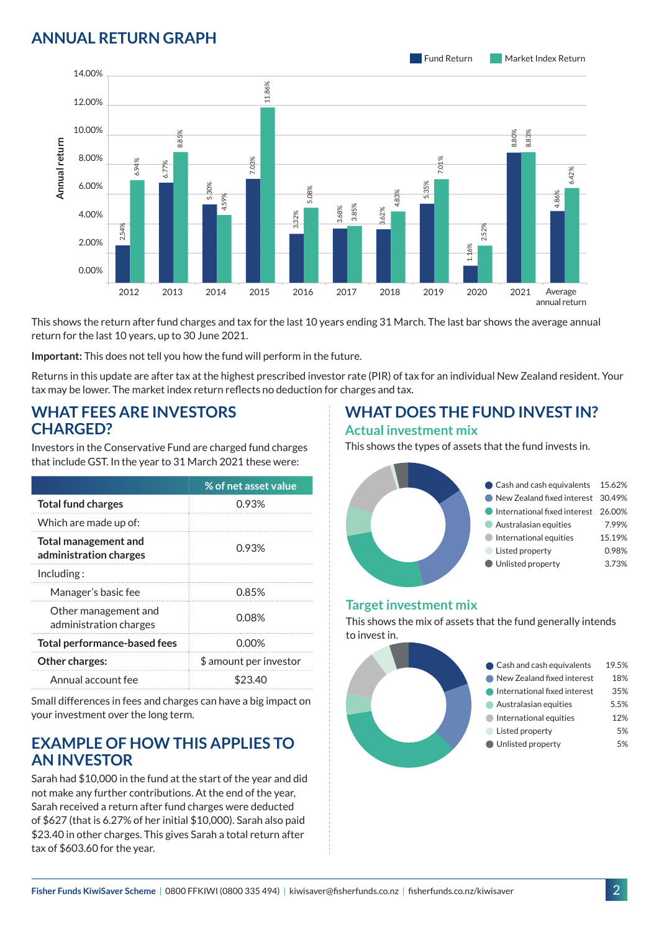# **ANNUAL RETURN GRAPH**



This shows the return after fund charges and tax for the last 10 years ending 31 March. The last bar shows the average annual return for the last 10 years, up to 30 June 2021.

**Important:** This does not tell you how the fund will perform in the future.

Returns in this update are after tax at the highest prescribed investor rate (PIR) of tax for an individual New Zealand resident. Your tax may be lower. The market index return reflects no deduction for charges and tax.

### **WHAT FEES ARE INVESTORS CHARGED?**

|                 |                                                                                                                                                                                           |                                                                                                       | 8.8   |         |       |                        |                                                                                                                                      |
|-----------------|-------------------------------------------------------------------------------------------------------------------------------------------------------------------------------------------|-------------------------------------------------------------------------------------------------------|-------|---------|-------|------------------------|--------------------------------------------------------------------------------------------------------------------------------------|
|                 | 8.00%                                                                                                                                                                                     | 6.94%                                                                                                 |       |         |       | .03%                   |                                                                                                                                      |
| Annual return   | 6.00%                                                                                                                                                                                     |                                                                                                       | 6.77% | 5.30%   |       |                        | 5.08%                                                                                                                                |
|                 | 4.00%                                                                                                                                                                                     |                                                                                                       |       |         | 4.59% |                        | 3.32%                                                                                                                                |
|                 | 2.00%                                                                                                                                                                                     | 2.54%                                                                                                 |       |         |       |                        |                                                                                                                                      |
|                 | 0.00%                                                                                                                                                                                     |                                                                                                       |       |         |       |                        |                                                                                                                                      |
|                 |                                                                                                                                                                                           | 2012                                                                                                  | 2013  | 2014    |       | 2015                   | 2016                                                                                                                                 |
|                 | This shows the return after fund charges and tax for the last 10<br>return for the last 10 years, up to 30 June 2021.<br>Important: This does not tell you how the fund will perform in t |                                                                                                       |       |         |       |                        |                                                                                                                                      |
|                 |                                                                                                                                                                                           |                                                                                                       |       |         |       |                        | Returns in this update are after tax at the highest prescribed in<br>tax may be lower. The market index return reflects no deductior |
| <b>CHARGED?</b> |                                                                                                                                                                                           | <b>WHAT FEES ARE INVESTORS</b>                                                                        |       |         |       |                        |                                                                                                                                      |
|                 | Investors in the Conservative Fund are charged fund charges<br>that include GST. In the year to 31 March 2021 these were:                                                                 |                                                                                                       |       |         |       |                        |                                                                                                                                      |
|                 |                                                                                                                                                                                           |                                                                                                       |       |         |       | % of net asset value   |                                                                                                                                      |
|                 | <b>Total fund charges</b>                                                                                                                                                                 |                                                                                                       |       |         |       | 0.93%                  |                                                                                                                                      |
|                 | Which are made up of:                                                                                                                                                                     |                                                                                                       |       |         |       |                        |                                                                                                                                      |
|                 | <b>Total management and</b><br>administration charges                                                                                                                                     |                                                                                                       |       |         |       | 0.93%                  |                                                                                                                                      |
| Including:      |                                                                                                                                                                                           |                                                                                                       |       |         |       |                        |                                                                                                                                      |
|                 | Manager's basic fee                                                                                                                                                                       |                                                                                                       |       | 0.85%   |       |                        |                                                                                                                                      |
|                 |                                                                                                                                                                                           | Other management and<br>administration charges                                                        |       | 0.08%   |       |                        |                                                                                                                                      |
|                 |                                                                                                                                                                                           | <b>Total performance-based fees</b>                                                                   |       |         |       | 0.00%                  |                                                                                                                                      |
|                 | Other charges:                                                                                                                                                                            |                                                                                                       |       |         |       | \$ amount per investor |                                                                                                                                      |
|                 | Annual account fee                                                                                                                                                                        |                                                                                                       |       | \$23.40 |       |                        |                                                                                                                                      |
|                 |                                                                                                                                                                                           | Small differences in fees and charges can have a big impact on<br>your investment over the long term. |       |         |       |                        |                                                                                                                                      |

### **EXAMPLE OF HOW THIS APPLIES TO AN INVESTOR**

Sarah had \$10,000 in the fund at the start of the year and did not make any further contributions. At the end of the year, Sarah received a return after fund charges were deducted of \$627 (that is 6.27% of her initial \$10,000). Sarah also paid \$23.40 in other charges. This gives Sarah a total return after tax of \$603.60 for the year.

### **WHAT DOES THE FUND INVEST IN? Actual investment mix**

This shows the types of assets that the fund invests in.



#### **Target investment mix**

This shows the mix of assets that the fund generally intends to invest in.